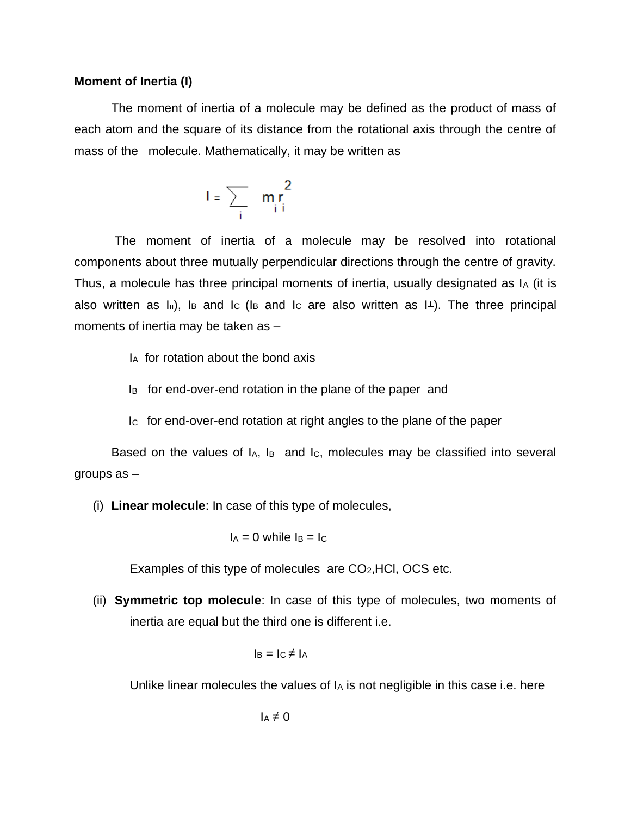## **Moment of Inertia (I)**

The moment of inertia of a molecule may be defined as the product of mass of each atom and the square of its distance from the rotational axis through the centre of mass of the molecule. Mathematically, it may be written as

$$
I = \sum_i \frac{m_i r_i^2}{n_i r_i}
$$

The moment of inertia of a molecule may be resolved into rotational components about three mutually perpendicular directions through the centre of gravity. Thus, a molecule has three principal moments of inertia, usually designated as I<sup>A</sup> (it is also written as  $I_{\parallel}$ ), I<sub>B</sub> and I<sub>C</sub> (I<sub>B</sub> and I<sub>C</sub> are also written as  $I_{\perp}$ ). The three principal moments of inertia may be taken as –

- IA for rotation about the bond axis
- IB for end-over-end rotation in the plane of the paper and
- IC for end-over-end rotation at right angles to the plane of the paper

Based on the values of IA, I<sub>B</sub> and I<sub>C</sub>, molecules may be classified into several groups as –

(i) **Linear molecule**: In case of this type of molecules,

 $I_A = 0$  while  $I_B = I_C$ 

Examples of this type of molecules are  $CO<sub>2</sub>$ , HCl, OCS etc.

(ii) **Symmetric top molecule**: In case of this type of molecules, two moments of inertia are equal but the third one is different i.e.

$$
I_B = I_C \neq I_A
$$

Unlike linear molecules the values of  $I_A$  is not negligible in this case i.e. here

$$
I_A \neq 0
$$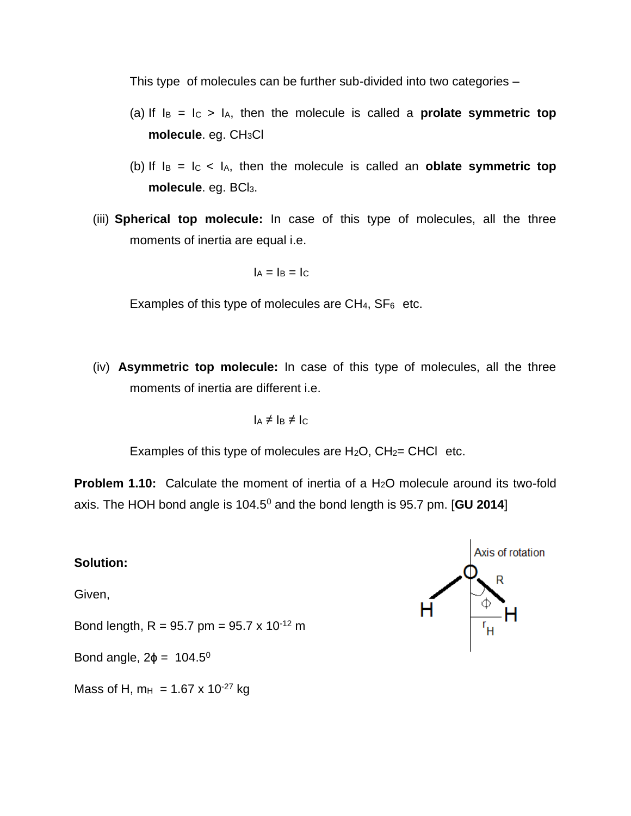This type of molecules can be further sub-divided into two categories –

- (a) If  $I_B = I_C > I_A$ , then the molecule is called a **prolate symmetric top molecule**. eg. CH3Cl
- (b) If  $I_B = I_C < I_A$ , then the molecule is called an **oblate symmetric top** molecule. eg. BCl<sub>3</sub>.
- (iii) **Spherical top molecule:** In case of this type of molecules, all the three moments of inertia are equal i.e.

$$
I_A = I_B = I_C
$$

Examples of this type of molecules are  $CH_4$ ,  $SF_6$  etc.

(iv) **Asymmetric top molecule:** In case of this type of molecules, all the three moments of inertia are different i.e.

$$
I_A \neq I_B \neq I_C
$$

Examples of this type of molecules are  $H_2O$ ,  $CH_2=CHCl$  etc.

**Problem 1.10:** Calculate the moment of inertia of a H<sub>2</sub>O molecule around its two-fold axis. The HOH bond angle is 104.5<sup>0</sup> and the bond length is 95.7 pm. [**GU 2014**]

## **Solution:**

Given,

Bond length, R = 95.7 pm =  $95.7 \times 10^{-12}$  m

Bond angle,  $2\phi = 104.5^\circ$ 

Mass of H,  $m_H$  = 1.67 x 10<sup>-27</sup> kg